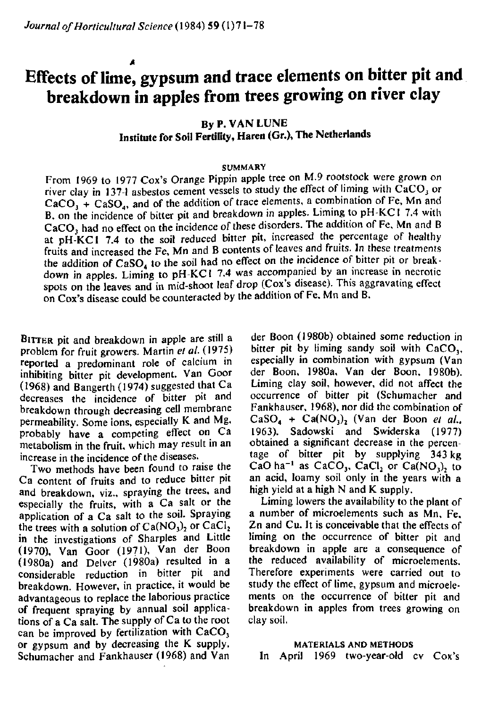# **Effects of lime, gypsum and trace elements on bitter pit and breakdown in apples from trees growing on river clay**

**By P. VAN LUNE Institute for Soil Fertility, Haren (Gr.), The Netherlands** 

#### **SUMMARY**

From 1969 to 1977 Cox's Orange Pippin apple tree on M.9 rootstock were grown on river clay in 137-1 asbestos cement vessels to study the effect of liming with  $\overline{CaCO}_3$  or  $CaCO<sub>3</sub> + CaSO<sub>4</sub>$ , and of the addition of trace elements, a combination of Fe, Mn and B, on the incidence of bitter pit and breakdown in apples. Liming to pH-KCl 7.4 with CaCO<sub>3</sub> had no effect on the incidence of these disorders. The addition of Fe, Mn and B at pH-KCl 7.4 to the soil reduced bitter pit, increased the percentage of healthy fruits and increased the Fe, Mn and B contents of leaves and fruits. In these treatments the addition of CaSO<sub>4</sub> to the soil had no effect on the incidence of bitter pit or breakdown in apples. Liming to pH-KCl 7.4 was accompanied by an increase in necrotic spots on the leaves and in mid-shoot leaf drop (Cox's disease). This aggravating effect on Cox's disease could be counteracted by the addition of Fe, Mn and B.

BITTER pit and breakdown in apple are still a problem for fruit growers. Martin *et al.* (1975) reported a predominant role of calcium in inhibiting bitter pit development. Van Goor (1968) and Bangerth (1974) suggested that Ca decreases the incidence of bitter pit and breakdown through decreasing cell membrane permeability. Some ions, especially K and Mg, probably have a competing effect on Ca metabolism in the fruit, which may result in an increase in the incidence of the diseases.

Two methods have been found to raise the Ca content of fruits and to reduce bitter pit and breakdown, viz., spraying the trees, and especially the fruits, with a Ca salt or the application of a Ca salt to the soil. Spraying the trees with a solution of  $Ca(NO<sub>3</sub>)<sub>2</sub>$  or  $CaCl<sub>2</sub>$ in the investigations of Sharpies and Little (1970), Van Goor (19?1), Van der Boon (1980a) and Delver (1980a) resulted in a considerable reduction in bitter pit and breakdown. However, in practice, it would be advantageous to replace the laborious practice of frequent spraying by annual soil applications of a Ca salt. The supply of Ca to the root can be improved by fertilization with  $CaCO<sub>3</sub>$ or gypsum and by decreasing the K supply. Schumacher and Fankhauser (1968) and Van

der Boon (1980b) obtained some reduction in bitter pit by liming sandy soil with  $CaCO<sub>3</sub>$ , especially in combination with gypsum (Van der Boon, 1980a, Van der Boon, 1980b). Liming clay soil, however, did not affect the occurrence of bitter pit (Schumacher and Fankhauser, 1968), nor did the combination of  $CaSO_4 + Ca(NO_3)_2$  (Van der Boon et al., 1963). Sadowski and Swiderska (1977) obtained a significant decrease in the percentage of bitter pit by supplying 343 kg CaO ha<sup>-1</sup> as CaCO<sub>3</sub>, CaCl<sub>2</sub> or Ca(NO<sub>3</sub>) an acid, loamy soil only in the years with a high yield at a high N and K supply.

Liming lowers the availability to the plant of a number of microelements such as Mn, Fe, Zn and Cu. It is conceivable that the effects of liming on the occurrence of bitter pit and breakdown in apple are a consequence of the reduced availability of microelements. Therefore experiments were carried out to study the effect of lime, gypsum and microelements on the occurrence of bitter pit and breakdown in apples from trees growing on clay soil.

#### **MATERIALS AND METHODS**

In April 1969 two-year-old cv Cox's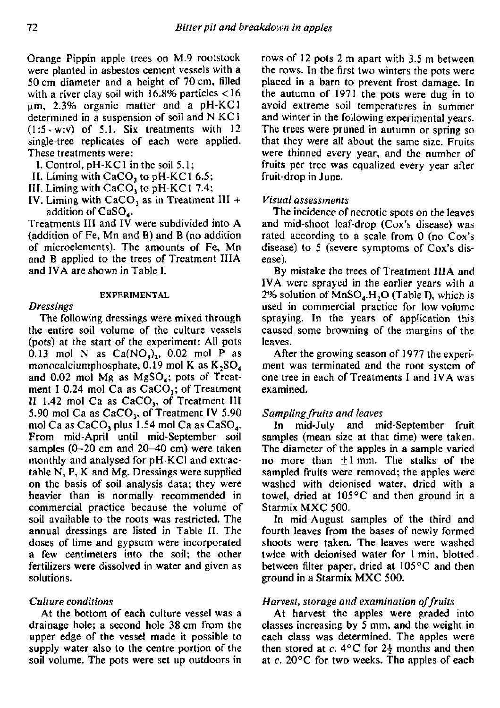Orange Pippin apple trees on M.9 rootstock were planted in asbestos cement vessels with a 50 cm diameter and a height of 70 cm, filled with a river clay soil with  $16.8\%$  particles  $\langle 16$ urn, 2.3% organic matter and a pH-KCl determined in a suspension of soil and N KCl  $(1:5=w:v)$  of 5.1. Six treatments with 12 single-tree replicates of each were applied. These treatments were:

- I. Control, pH-KC 1 in the soil 5.1 ;
- II. Liming with CaCO<sub>3</sub> to pH-KC1 6.5;
- III. Liming with CaCO<sub>3</sub> to pH-KC1 7.4;
- IV. Liming with  $CaCO<sub>3</sub>$  as in Treatment III + addition of CaSO<sub>4</sub>.

Treatments III and IV were subdivided into A (addition of Fe, Mn and B) and B (no addition of microelements). The amounts of Fe, Mn and B applied to the trees of Treatment IIIA and IVA are shown in Table I.

## **EXPERIMENTAL**

#### *Dressings*

The following dressings were mixed through the entire soil volume of the culture vessels (pots) at the start of the experiment: All pots 0.13 mol N as  $Ca(NO<sub>3</sub>)$ , 0.02 mol P as monocalciumphosphate,  $0.19$  mol K as  $K_2SO_4$ and  $0.02$  mol Mg as MgSO<sub>4</sub>; pots of Treatment I 0.24 mol Ca as  $CaCO<sub>3</sub>$ ; of Treatment II 1.42 mol Ca as  $CaCO<sub>3</sub>$ , of Treatment III 5.90 mol Ca as  $CaCO<sub>3</sub>$ , of Treatment IV 5.90 mol Ca as CaCO<sub>1</sub> plus 1.54 mol Ca as CaSO<sub>4</sub>. From mid-April until mid-September soil samples (0-20 cm and 20-40 cm) were taken monthly and analysed for pH-KCl and extractable N, P, K and Mg. Dressings were supplied on the basis of soil analysis data; they were heavier than is normally recommended in commercial practice because the volume of soil available to the roots was restricted. The annual dressings are listed in Table II. The doses of lime and gypsum were incorporated a few centimeters into the soil; the other fertilizers were dissolved in water and given as solutions.

## *Culture conditions*

At the bottom of each culture vessel was a drainage hole; a second hole 38 cm from the upper edge of the vessel made it possible to supply water also to the centre portion of the soil volume. The pots were set up outdoors in

rows of 12 pots 2 m apart with 3.5 m between the rows. In the first two winters the pots were placed in a barn to prevent frost damage. In the autumn of 1971 the pots were dug in to avoid extreme soil temperatures in summer and winter in the following experimental years. The trees were pruned in autumn or spring so that they were all about the same size. Fruits were thinned every year, and the number of fruits per tree was equalized every year after fruit-drop in June.

## *Visual assessments*

The incidence of necrotic spots on the leaves and mid-shoot leaf-drop (Cox's disease) was rated according to a scale from 0 (no Cox's disease) to 5 (severe symptoms of Cox's disease).

By mistake the trees of Treatment IIIA and IVA were sprayed in the earlier years with a 2% solution of  $MnSO<sub>4</sub>$ .H<sub>2</sub>O (Table I), which is used in commercial practice for low-volume spraying. In the years of application this caused some browning of the margins of the leaves.

After the growing season of 1977 the experiment was terminated and the root system of one tree in each of Treatments I and IVA was examined.

## *Samplingfruits and leaves*

In mid-July and mid-September fruit samples (mean size at that time) were taken. The diameter of the apples in a sample varied no more than  $\pm 1$  mm. The stalks of the sampled fruits were removed; the apples were washed with deionised water, dried with a towel, dried at 105°C and then ground in a Starmix MXC 500.

In mid-August samples of the third and fourth leaves from the bases of newly formed shoots were taken. The leaves were washed twice with deionised water for 1 min, blotted between filter paper, dried at 105°C and then ground in a Starmix MXC 500.

## *Harvest, storage and examination of fruits*

At harvest the apples were graded into classes increasing by 5 mm, and the weight in each class was determined. The apples were then stored at  $c$ . 4°C for  $2\frac{1}{2}$  months and then at *c.* 20°C for two weeks. The apples of each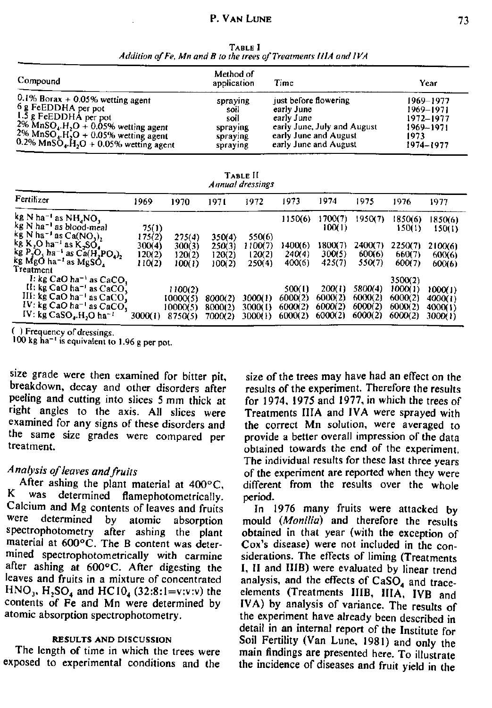| TABLE I                                                          |  |
|------------------------------------------------------------------|--|
| Addition of Fe, Mn and B to the trees of Treatments IIIA and IVA |  |

| Compound                                                          | Method of<br>application | Time                        | Year          |
|-------------------------------------------------------------------|--------------------------|-----------------------------|---------------|
| $0.1\%$ Borax + 0.05% wetting agent                               | spraying                 | just before flowering       | 1969–1977     |
| 6 g FeEDDHA per pot                                               | soil                     | early June                  | 1969-1971     |
| $1.\overline{5}$ g FeEDDH $\overline{A}$ per pot                  | soil                     | early June                  | 1972–1977     |
| $2\%$ MnSO <sub>4</sub> .H <sub>2</sub> O + 0.05% wetting agent   | spraying                 | early June, July and August | $1969 - 1971$ |
| $2\%$ MnSO <sub>4</sub> .H <sub>2</sub> O + 0.05% wetting agent   | spraying                 | early June and August       | 1973          |
| $0.2\%$ MnSO <sub>4</sub> .H <sub>2</sub> O + 0.05% wetting agent | spraying                 | early June and August       | 1974–1977     |

TABLE II *Annual dressings* 

| Fertilizer                                                                                                                                                                  | 1969                                 | 1970                                 | 1971                                 | 1972                                   | 1973                        | 1974                        | 1975                        | 1976                          | 1977                        |
|-----------------------------------------------------------------------------------------------------------------------------------------------------------------------------|--------------------------------------|--------------------------------------|--------------------------------------|----------------------------------------|-----------------------------|-----------------------------|-----------------------------|-------------------------------|-----------------------------|
| kg N ha <sup>-1</sup> as $NH_4NO_3$<br>$kg$ N ha <sup>-1</sup> as blood-meal                                                                                                | 75(1)                                |                                      |                                      |                                        | 1150(6)                     | 1700(7)<br>100(1)           | 1950(7)                     | 1850(6)<br>150(1)             | 1850(6)<br>150(1)           |
| $kg$ N ha <sup>-1</sup> as Ca(NO <sub>1</sub> ),<br>kg K,O ha <sup>-1</sup> as K,SO,<br>kg $P_2O_5$ ha <sup>-1</sup> as $Ca(H_2PO_4)$ ,<br>kg MgO ha <sup>-1</sup> as MgSO, | 175(2)<br>300(4)<br>120(2)<br>110(2) | 275(4)<br>300(3)<br>120(2)<br>100(1) | 350(4)<br>250(3)<br>120(2)<br>100(2) | 550(6)<br>! 100(7)<br>120(2)<br>250(4) | 1400(6)<br>240(4)<br>400(6) | 1800(7)<br>300(5)<br>425(7) | 2400(7)<br>600(6)<br>550(7) | 2250(7)<br>660(7)<br>600(7)   | 2100(6)<br>600(6)<br>600(6) |
| Treatment<br>I: kg CaO ha <sup>-1</sup> as CaCO <sub>1</sub><br>$H:$ kg CaO ha <sup>-1</sup> as CaCO <sub>3</sub><br>III: kg CaO ha <sup>-1</sup> as CaCO <sub>1</sub>      |                                      | 1100(2)<br>10000(5)                  | 8000(2)                              | 3000(1)                                | 500(1)<br>6000(2)           | 200(1)<br>6000(2)           | 5800(4)<br>6000(2)          | 3500(2)<br>1000(1)<br>6000(2) | 1000(1)<br>4000(1)          |
| $IV:$ kg CaO ha <sup>-1</sup> as CaCO <sub>1</sub><br>IV: kg CaSO <sub>4</sub> .H <sub>2</sub> O ha <sup>-1</sup>                                                           | 3000(1)                              | 10000(5)<br>8750(5)                  | 8000(2)<br>7000(2)                   | 3000(1)<br>3000(1)                     | 6000(2)<br>6000(2)          | 6000(2)<br>6000(2)          | 6000(2)<br>6000(2)          | 6000(2)<br>6000(2)            | 4000(1)<br>3000(1)          |

( ) Frequency of dressings.

100 kg ha<sup>-1</sup> is equivalent to 1.96 g pe

size grade were then examined for bitter pit, breakdown, decay and other disorders after peeling and cutting into slices 5 mm thick at right angles to the axis. All slices were examined for any signs of these disorders and the same size grades were compared per treatment.

# *Analysis of leaves and fruits*

After ashing the plant material at 400°C, K was determined flamephotometrically. Calcium and Mg contents of leaves and fruits<br>were determined by atomic absorption determined by atomic absorption spectrophotometry after ashing the plant material at 600°C. The B content was determined spectrophotometrically with carmine after ashing at 600°C. After digesting the leaves and fruits in a mixture of concentrated  $HNO_3$ , H<sub>2</sub>SO<sub>4</sub> and HC10<sub>4</sub> (32:8:1=v:v:v) the contents of Fe and Mn were determined by atomic absorption spectrophotometry.

#### **RESULTS AND DISCUSSION**

The length of time in which the trees were exposed to experimental conditions and the

size of the trees may have had an effect on the results of the experiment. Therefore the results for 1974, 1975 and 1977, in which the trees of Treatments IIIA and IVA were sprayed with the correct Mn solution, were averaged to provide a better overall impression of the data obtained towards the end of the experiment. The individual results for these last three years of the experiment are reported when they were different from the results over the whole period.

In 1976 many fruits were attacked by mould *(Monilia)* and therefore the results obtained in that year (with the exception of Cox's disease) were not included in the considerations. The effects of liming (Treatments I, II and HIB) were evaluated by linear trend analysis, and the effects of  $CaSO<sub>4</sub>$  and traceelements (Treatments HIB, IIIA, IVB and IVA) by analysis of variance. The results of the experiment have already been described in detail in an internal report of the Institute for Soil Fertility (Van Lune, 1981) and only the main findings are presented here. To illustrate the incidence of diseases and fruit yield in the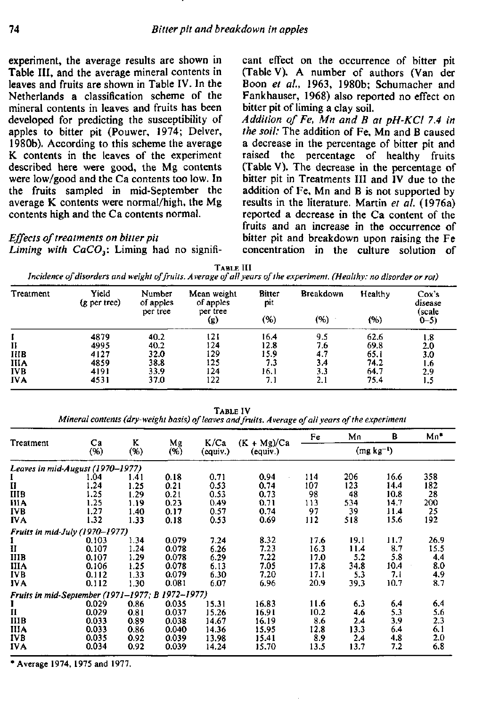experiment, the average results are shown in Table III, and the average mineral contents in leaves and fruits are shown in Table IV. In the Netherlands a classification scheme of the mineral contents in leaves and fruits has been developed for predicting the susceptibility of apples to bitter pit (Pouwer, 1974; Delver, 1980b). According to this scheme the average K contents in the leaves of the experiment described here were good, the Mg contents were low/good and the Ca contents too low. In the fruits sampled in mid-September the average K contents were normal/high, the Mg contents high and the Ca contents normal.

*Effects of treatments on bitter pit Liming with CaC03:* Liming had no significant effect on the occurrence of bitter pit (Table V). A number of authors (Van der Boon *et al.,* 1963, 1980b; Schumacher and Fankhauser, 1968) also reported no effect on bitter pit of liming a clay soil.

*Addition of Fe, Mn and B at pH-KCl 7.4 in the soil:* The addition of Fe, Mn and B caused a decrease in the percentage of bitter pit and raised the percentage of healthy fruits (Table V). The decrease in the percentage of bitter pit in Treatments HI and IV due to the addition of Fe, Mn and B is not supported by results in the literature. Martin *et al.* (1976a) reported a decrease in the Ca content of the fruits and an increase in the occurrence of bitter pit and breakdown upon raising the Fe concentration in the culture solution of

TABLE III

*Incidence of disorders and weight of fruits. A verage of all years of the experiment. (Healthy: no disorder or rot)* 

| Treatment   | Yield<br>(g per tree) | Number<br>of apples<br>per tree | Mean weight<br>of apples<br>per tree | Bitter<br>pit | <b>Breakdown</b> | Healthy | Cox's<br>disease<br>(scale |
|-------------|-----------------------|---------------------------------|--------------------------------------|---------------|------------------|---------|----------------------------|
|             |                       | (g)                             | (%)                                  | (%)           | (%)              | $0 - 5$ |                            |
|             | 4879                  | 40.2                            | 121                                  | 16.4          | 9.5              | 62.6    | 1.8                        |
| П           | 4995                  | 40.2                            | 124                                  | 12.8          | 7.6              | 69.8    | 2.0                        |
| <b>IIIB</b> | 4127                  | 32.0                            | 129                                  | 15.9          | 4.7              | 65.1    | 3.0                        |
| <b>IIIA</b> | 4859                  | 38.8                            | 125                                  | 7.3           | 34               | 74.2    | 1.6                        |
| <b>IVB</b>  | 4191                  | 33.9                            | 124                                  | 16.1          | 3.3              | 64.7    | 2.9                        |
| <b>IVA</b>  | 4531                  | 37.0                            | 122                                  | 7. 1          | 2.1              | 75.4    | 1.5                        |

TABLE IV

*Mineral contents (dry-weight basis) of leaves and fruits. Average of all years of the experiment* 

| Treatment                                        | Ca    | K<br>(% ) | Mg    | K/Ca     | $(K + Mg)/Ca$<br>(equiv.) | Fe          | Mn   | B    | $Mn^*$ |
|--------------------------------------------------|-------|-----------|-------|----------|---------------------------|-------------|------|------|--------|
|                                                  | (96)  |           | (96)  | (equiv.) |                           | $(mg kg-1)$ |      |      |        |
| Leaves in mid-August (1970–1977)                 |       |           |       |          |                           |             |      |      |        |
|                                                  | 1.04  | 1.41      | 0.18  | 0.71     | 0.94                      | 114         | 206  | 16.6 | 358    |
| II                                               | 1.24  | 1.25      | 0.21  | 0.53     | 0.74                      | 107         | 123  | 14.4 | 182    |
| ШВ                                               | 1.25  | 1.29      | 0.21  | 0.53     | 0.73                      | 98          | 48   | 10.8 | 28     |
| ША                                               | 1.25  | 1.19      | 0.23  | 0.49     | 0.71                      | 113         | 534  | 14.7 | 200    |
| IVB                                              | 1.27  | 1.40      | 0.17  | 0.57     | 0.74                      | 97          | 39   | 11.4 | 25     |
| <b>IVA</b>                                       | 1.32  | 1.33      | 0.18  | 0.53     | 0.69                      | 112         | 518  | 15.6 | 192    |
| Fruits in mid-July (1970–1977)                   |       |           |       |          |                           |             |      |      |        |
|                                                  | 0.103 | 1.34      | 0.079 | 7.24     | 8.32                      | 17.6        | 19.1 | 11.7 | 26.9   |
| II                                               | 0.107 | 1.24      | 0.078 | 6.26     | 7.23                      | 16.3        | 11.4 | 8.7  | 15.5   |
| <b>IIIB</b>                                      | 0.107 | 1.29      | 0.078 | 6.29     | 7.22                      | 17.0        | 5.2  | 5.8  | 4.4    |
| <b>IIIA</b>                                      | 0.106 | 1.25      | 0.078 | 6.13     | 7.05                      | 17.8        | 34.8 | 10.4 | 8.0    |
| IVB                                              | 0.112 | 1.33      | 0.079 | 6.30     | 7.20                      | 17.1        | 5.3  | 7.1  | 4.9    |
| IV A                                             | 0.112 | 1.30      | 0.081 | 6.07     | 6.96                      | 20.9        | 39.3 | 10.7 | 8.7    |
| Fruits in mid-September (1971-1977; B 1972-1977) |       |           |       |          |                           |             |      |      |        |
|                                                  | 0.029 | 0.86      | 0.035 | 15.31    | 16.83                     | 11.6        | 6.3  | 6,4  | 6.4    |
| II                                               | 0.029 | 0.81      | 0.037 | 15.26    | 16.91                     | 10.2        | 4.6  | 5.3  | 5.6    |
| IIIB                                             | 0.033 | 0.89      | 0.038 | 14.67    | 16.19                     | 8.6         | 2.4  | 3.9  | 2.3    |
| IIIA                                             | 0.033 | 0.86      | 0.040 | 14.36    | 15.95                     | 12.8        | 13.3 | 6.4  | 6.1    |
| IVB                                              | 0.035 | 0.92      | 0.039 | 13.98    | 15.41                     | 8.9         | 2.4  | 4.8  | 2.0    |
| IV A                                             | 0.034 | 0.92      | 0.039 | 14.24    | 15.70                     | 13.5        | 13.7 | 7.2  | 6.8    |

\* Average 1974, 1975 and 1977.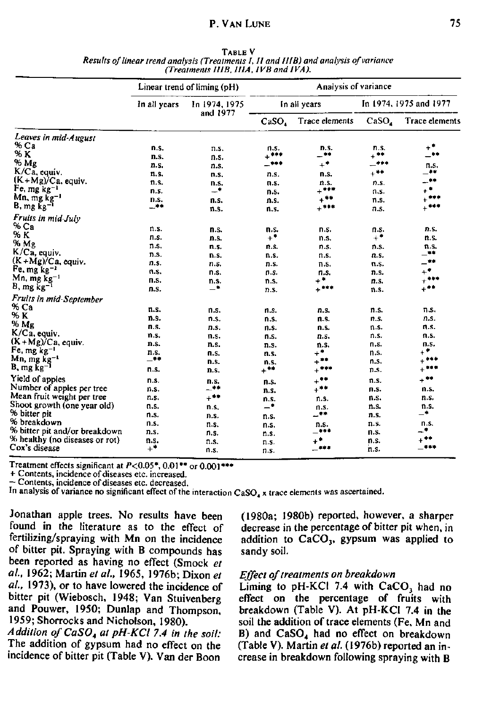## **P. VAN LUNE** 25

|                                |                  | Linear trend of liming (pH) | Analysis of variance     |                       |                        |                       |  |
|--------------------------------|------------------|-----------------------------|--------------------------|-----------------------|------------------------|-----------------------|--|
|                                | In all years     | In 1974, 1975<br>and 1977   |                          | In all years          | In 1974, 1975 and 1977 |                       |  |
|                                |                  |                             | CaSO <sub>4</sub>        | <b>Trace elements</b> | CaSO <sub>a</sub>      | <b>Trace elements</b> |  |
| Leaves in mid-August           |                  |                             |                          |                       |                        |                       |  |
| $%$ Ca                         | n.s.             | n.s.                        | n.s.                     | n.s.                  | n.S.                   | $+^*$                 |  |
| $\% K$                         | n.s.             | n.s.                        | $+$ ***                  | -*                    | ⊥ **                   | -                     |  |
| % Mg                           | n.s.             | n.s.                        | _∗∗∗                     | $+$                   | -***                   | n.s.                  |  |
| $K/Ca$ , equiv.                | 11.S.            | n.s.                        | n.s.                     | n.s.                  | $\ast\,{}^{\ast\,*}$   | _∗∗                   |  |
| $(K+Mg)/Ca$ , equiv.           | n.s.             | n.s.                        | n.s.                     | n.s.                  | n.s.                   | **                    |  |
| $Fe, mg kg-1$                  | n.s.             | -*                          | n.s.                     | $+$ ***               | n.s.                   | $\star^\bullet$       |  |
| Mn, mg kg <sup>-1</sup>        | n.s.             | n.s.                        | n.s.                     | $\star^{\ast\ast}$    | n.s.                   | $+***$                |  |
| $B, mg kg-1$                   | -**              | n.s.                        | n.s.                     | $+$                   | n.s.                   | $+$                   |  |
| Fruits in mid-July             |                  |                             |                          |                       |                        |                       |  |
| % Ca                           | n.s.             |                             |                          |                       |                        | n.s.                  |  |
| % K                            | n.s.             | n.s.                        | п.s.<br>$+$ <sup>*</sup> | n.s.                  | n.s.<br>$+^{\bullet}$  |                       |  |
| % Mg                           |                  | n.s.                        |                          | n.s.                  |                        | n.s.                  |  |
| K/Ca, equiv.                   | n.s.             | n.s.                        | n.s.                     | n.s.                  | n.s.                   | n.s.<br>_**           |  |
| $(K+Mg)/Ca$ , equiv.           | n.s.             | n.s.                        | n.s.                     | n.s.                  | n.s.                   | $-$ **                |  |
| Fe, mg $kg^{-1}$               | n s.             | n.s.                        | n.s.                     | n.s.                  | n.s.                   | $\pm^\bullet$         |  |
| $Mn$ , mg $kg^{-1}$            | n s.             | n.s.                        | n.s.                     | n.s.<br>$+$ *         | n.s.                   | $+$ ***               |  |
| $B, mg kg-1$                   | n.s.             | n.s.<br>–*                  | n.s.                     | $+$ ***               | n.s.                   | $\pm$ * *             |  |
|                                | n.s.             |                             | n.s.                     |                       | n.s.                   |                       |  |
| Fruits in mid-September        |                  |                             |                          |                       |                        |                       |  |
| % Ca                           | n.s.             | n.s.                        | n.s.                     | n.s.                  | n.s.                   | n.s.                  |  |
| % K                            | n.s.             | n.s.                        | n.s.                     | n.s.                  | n.s.                   | n.s.                  |  |
| % Mg                           | n.s.             | n.s.                        | n.s.                     | n.s.                  | n.s.                   | n.s.                  |  |
| K/Ca, equiv.                   | n.s.             | n.s.                        | n.s.                     | n.s.                  | n.s.                   | n.s.                  |  |
| $(K+Mg)/Ca$ , equiv.           | n.s.             | n.s.                        | n.s.                     | n.s.                  | n.s.                   | n.s.                  |  |
| Fe, mg kg <sup>-1</sup>        | n.s.             | n.s.                        | n.s.                     | $+$ *                 | n.s.                   | $+^{\bullet}$         |  |
| Mn, mg kg <sup>-1</sup>        | $-$ **           | n.s.                        | n.s.                     | +**                   | n.S.                   | $+$ ***               |  |
| $B, mg kg-1$                   | n.s.             | n.s.                        | $+$ **                   | $+***$                | n.s.                   | $\pm$ 0.00            |  |
| Yield of apples                | n.s.             | n.s.                        | n.s.                     | $+$ **                | n.s.                   | +**                   |  |
| Number of apples per tree      | n.s.             | —**                         | n.s.                     | $+$ **                | п.s.                   | n.s.                  |  |
| Mean fruit weight per tree     | n.s.             | +**                         | n.s.                     | n.s.                  | n.s.                   | n.s.                  |  |
| Shoot growth (one year old)    | n.s.             | n.s.                        | $\overline{\phantom{a}}$ | n.s.                  | n.s.                   | n.s.                  |  |
| % bitter pit                   | n.s.             | n.s.                        | n.s.                     | -**                   | n.s.                   | –*                    |  |
| % breakdown                    | n.s.             | n.s.                        | n.s.                     | n.s.                  | n.s.                   | n.s.                  |  |
| % bitter pit and/or breakdown  | n.s.             | n.s.                        | n.s.                     |                       | n.s.                   | .∙                    |  |
| % healthy (no diseases or rot) | n.s.             | n.s.                        | n.s.                     | +∙                    | n.s.                   | $\pm$ **              |  |
| Cox's disease                  | $+$ <sup>*</sup> | n.s.                        | n.s.                     | —***                  | n.s.                   | $-$ ***               |  |

TABLE V *Results of linear trend analysis (Treatments I, II and II IB) and analysis of variance (Treatments HIB, UIA, IVB and IVA).* 

Treatment effects significant at  $P<0.05$ \*, 0.01\*\* or 0.00

+ Contents, incidence of diseases etc. increased.

— Contents, incidence of diseases etc. decreased.

In analysis of variance no significant effect of the interaction  $CaSO<sub>4</sub>$  x trace elements was ascertained.

Jonathan apple trees. No results have been found in the literature as to the effect of fertilizing/spraying with Mn on the incidence of bitter pit. Spraying with B compounds has been reported as having no effect (Smock *et al.,* 1962; Martin *et al.,* 1965, 1976b; Dixon *et al.,* 1973), or to have lowered the incidence of bitter pit (Wiebosch, 1948; Van Stuivenberg and Pouwer, 1950; Dunlap and Thompson, 1959; Shorrocks and Nicholson, 1980).

*Addition o/CaS04 at pH-KCl 7.4 in the soil:*  The addition of gypsum had no effect on the incidence of bitter pit (Table V). Van der Boon

(1980a; 1980b) reported, however, a sharper decrease in the percentage of bitter pit when, in addition to  $CaCO<sub>3</sub>$ , gypsum was applied to sandy soil.

## *Effect of treatments on breakdown*

Liming to  $pH-KCl$  7.4 with  $CaCO<sub>3</sub>$  had no effect on the percentage of fruits with breakdown (Table V). At pH-KCI 7.4 in the soil the addition of trace elements (Fe, Mn and B) and  $CaSO<sub>4</sub>$  had no effect on breakdown (Table V). Martin *et al.* (1976b) reported an increase in breakdown following spraying with B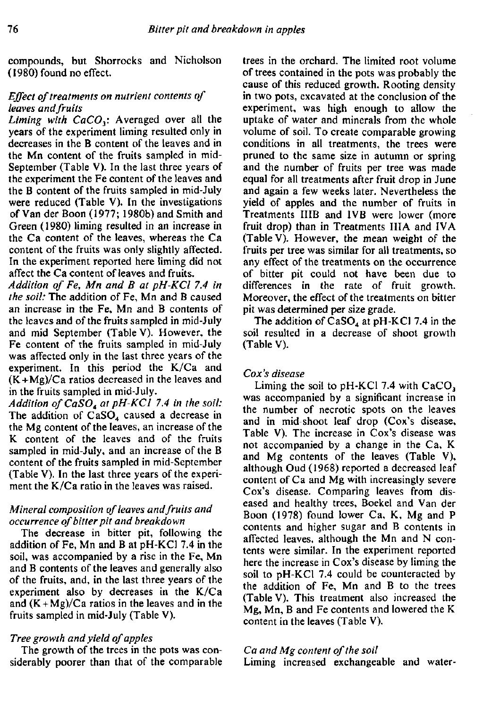compounds, but Shorrocks and Nicholson (1980) found no effect.

# *Effect of treatments on nutrient contents of leaves and fruits*

*Liming with CaCO<sub>3</sub>*: Averaged over all the years of the experiment liming resulted only in decreases in the B content of the leaves and in the Mn content of the fruits sampled in mid-September (Table V). In the last three years of the experiment the Fe content of the leaves and the B content of the fruits sampled in mid-July were reduced (Table V). In the investigations of Van der Boon (1977; 1980b) and Smith and Green (1980) liming resulted in an increase in the Ca content of the leaves, whereas the Ca content of the fruits was only slightly affected. In the experiment reported here liming did not affect the Ca content of leaves and fruits.

*Addition of Fe, Mn and B at pH-KCl 7.4 in the soil:* The addition of Fe, Mn and B caused an increase in the Fe, Mn and B contents of the leaves and of the fruits sampled in mid-July and mid September (Table V). However, the Fe content of the fruits sampled in mid-July was affected only in the last three years of the experiment. In this period the K/Ca and  $(K + Mg)/Ca$  ratios decreased in the leaves and in the fruits sampled in mid-July.

*Addition ofCaS04 at pH-KCl 7.4 in the soil:*  The addition of  $CaSO<sub>4</sub>$  caused a decrease in the Mg content of the leaves, an increase of the K content of the leaves and of the fruits sampled in mid-July, and an increase of the B content of the fruits sampled in mid-September (Table V). In the last three years of the experiment the K/Ca ratio in the leaves was raised.

# *Mineral composition of leaves and fruits and occurrence of bitter pit and breakdown*

The decrease in bitter pit, following the addition of Fe, Mn and B at pH-KCl 7.4 in the soil, was accompanied by a rise in the Fe, Mn and B contents of the leaves and generally also of the fruits, and, in the last three years of the experiment also by decreases in the K/Ca and  $(K+Mg)/Ca$  ratios in the leaves and in the fruits sampled in mid-July (Table V).

# *Tree growth and yield of apples*

The growth of the trees in the pots was considerably poorer than that of the comparable trees in the orchard. The limited root volume of trees contained in the pots was probably the cause of this reduced growth. Rooting density in two pots, excavated at the conclusion of the experiment, was high enough to allow the uptake of water and minerals from the whole volume of soil. To create comparable growing conditions in all treatments, the trees were pruned to the same size in autumn or spring and the number of fruits per tree was made equal for all treatments after fruit drop in June and again a few weeks later. Nevertheless the yield of apples and the number of fruits in Treatments HIB and IVB were lower (more fruit drop) than in Treatments IIIA and IVA (Table V). However, the mean weight of the fruits per tree was similar for all treatments, so any effect of the treatments on the occurrence of bitter pit could not have been due to differences in the rate of fruit growth. Moreover, the effect of the treatments on bitter pit was determined per size grade.

The addition of  $CaSO<sub>4</sub>$  at pH-KCl 7.4 in the soil resulted in a decrease of shoot growth (Table V).

# *Cox's disease*

Liming the soil to  $pH-KCl$  7.4 with  $CaCO<sub>3</sub>$ was accompanied by a significant increase in the number of necrotic spots on the leaves and in mid-shoot leaf drop (Cox's disease, Table V). The increase in Cox's disease was not accompanied by a change in the Ca, K and Mg contents of the leaves (Table V), although Oud (1968) reported a decreased leaf content of Ca and Mg with increasingly severe Cox's disease. Comparing leaves from diseased and healthy trees, Boekel and Van der Boon (1978) found lower Ca, K, Mg and P contents and higher sugar and B contents in affected leaves, although the Mn and N contents were similar. In the experiment reported here the increase in Cox's disease by liming the soil to pH-KCl 7.4 could be counteracted by the addition of Fe, Mn and B to the trees (Table V). This treatment also increased the Mg, Mn, B and Fe contents and lowered the K content in the leaves (Table V).

# *Ca and Mg content of the soil*

Liming increased exchangeable and water-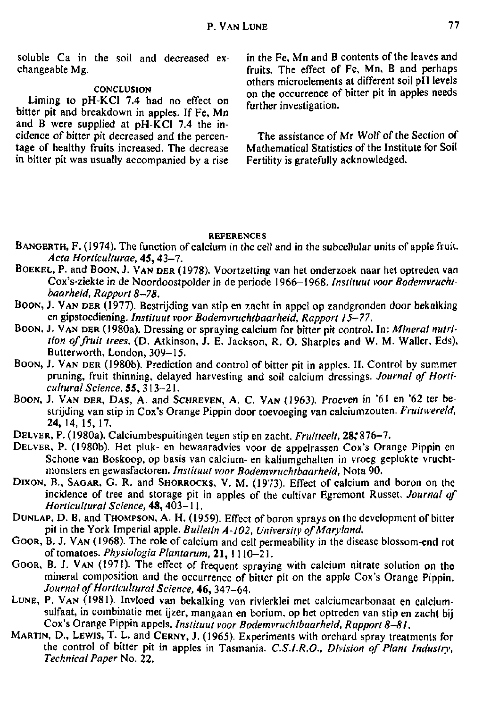soluble Ca in the soil and decreased exchangeable Mg.

## **CONCLUSION**

Liming to pH-KCl 7.4 had no effect on bitter pit and breakdown in apples. If Fe, Mn and B were supplied at  $pH-\overline{KC}$  7.4 the incidence of bitter pit decreased and the percentage of healthy fruits increased. The decrease in bitter pit was usually accompanied by a rise in the Fe, Mn and B contents of the leaves and fruits. The effect of Fe, Mn, B and perhaps others microelements at different soil pH levels on the occurrence of bitter pit in apples needs further investigation.

The assistance of Mr Wolf of the Section of Mathematical Statistics of the Institute for Soil Fertility is gratefully acknowledged.

## **REFERENCES**

- BANGERTH, F. (1974). The function of calcium in the cell and in the subcellular units of apple fruit. *Acta Horticulturae,* 45,43-7 .
- BOEKEL, P. and BOON, J. VAN DER (1978). Voortzetting van het onderzoek naar het optreden van Cox's-ziekte in de Noordoostpolder in de periode 1966-1968. *Instituut voor Bodemvruchtbaarheid, Rapport 8-78.*
- BOON, J. VAN DER (1977). Bestrijding van stip en zacht in appel op zandgronden door bekalking en gipstoediening. *Instituut voor Bodemvruchtbaarheid, Rapport 15-77.*
- BOON, J. VAN DER (1980a). Dressing or spraying calcium for bitter pit control. In: *Mineral nutrition of fruit trees.* (D. Atkinson, J. E. Jackson, R. O. Sharpies and W. M. Waller, Eds), Butterworth, London, 309-15.
- BOON, J. VAN DER (1980b). Prediction and control of bitter pit in apples. II. Control by summer pruning, fruit thinning, delayed harvesting and soil calcium dressings. *Journal of Horticultural Science*, 55, 313-21.
- BOON, J. VAN DER, DAS, A. and SCHREVEN, A. C. VAN (1963). Proeven in '61 en '62 ter bestrijding van stip in Cox's Orange Pippin door toevoeging van calciumzouten. *Fruitwereld,*  24,14, 15, 17.
- DELVER, P. (1980a). Calciumbespuitingen tegen stip en zacht. Fruitteelt, 28;876-7.
- DELVER, P. (1980b). Het pluk- en bewaaradvies voor de appelrassen Cox's Orange Pippin en Schone van Boskoop, op basis van calcium- en kaliumgehalten in vroeg geplukte vruchtmonsters en gewasfactoren. *Instituut voor Bodemvruchtbaarheid,* Nota 90.
- DIXON, B., SAGAR, G. R. and SHORROCKS, V. M. (1973). Effect of calcium and boron on the incidence of tree and storage pit in apples of the cultivar Egremont Russet. *Journal of Horticultural Science,* 48,403-11 .
- DUNLAP, D. B. and THOMPSON, A. H. (1959). Effect of boron sprays on the development of bitter pit in the York Imperial apple. *Bulletin A-102, University of Maryland.*
- GOOR, B. J. VAN (1968). The role of calcium and cell permeability in the disease blossom-end rot of tomatoes. *Physiologia Plantarum,* 21, 1110-21.
- GOOR, B. J. VAN (1971). The effect of frequent spraying with calcium nitrate solution on the mineral composition and the occurrence of bitter pit on the apple Cox's Orange Pippin. *Journal of Horticultural Science,* 46, 347-64.
- LUNE, P. VAN (1981). Invloed van bekalking van rivierklei met calciumcarbonaat en calciumsulfaat, in combinatie met ijzer, mangaan en borium, op het optreden van stip en zacht bij Cox's Orange Pippin appels. *Instituut voor Bodemvruchtbaarheid, Rapport 8-81,*
- MARTIN, D., LEWIS, T. L. and CERNY, J. (1965). Experiments with orchard spray treatments for the control of bitter pit in apples in Tasmania. *C.S.I.R.O., Division of Plant Industry, Technical Paper* No. 22.